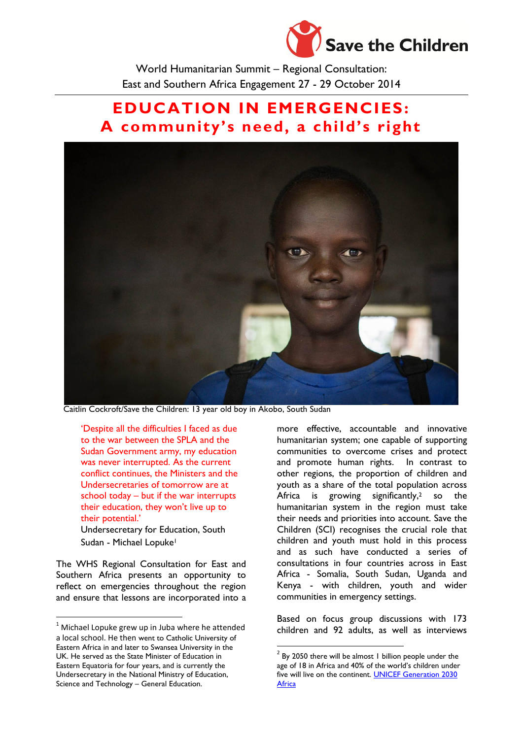

World Humanitarian Summit – Regional Consultation: East and Southern Africa Engagement 27 - 29 October 2014

# **EDUCATION IN EMERGENCIES: A community's need, a child's right**



**.** 

Caitlin Cockroft/Save the Children: 13 year old boy in Akobo, South Sudan

'Despite all the difficulties I faced as due to the war between the SPLA and the Sudan Government army, my education was never interrupted. As the current conflict continues, the Ministers and the Undersecretaries of tomorrow are at school today – but if the war interrupts their education, they won't live up to their potential.'

Undersecretary for Education, South Sudan - Michael Lopuke<sup>1</sup>

The WHS Regional Consultation for East and Southern Africa presents an opportunity to reflect on emergencies throughout the region and ensure that lessons are incorporated into a

 $\overline{\phantom{a}}$ 

more effective, accountable and innovative humanitarian system; one capable of supporting communities to overcome crises and protect and promote human rights. In contrast to other regions, the proportion of children and youth as a share of the total population across Africa is growing significantly, <sup>2</sup> so the humanitarian system in the region must take their needs and priorities into account. Save the Children (SCI) recognises the crucial role that children and youth must hold in this process and as such have conducted a series of consultations in four countries across in East Africa - Somalia, South Sudan, Uganda and Kenya - with children, youth and wider communities in emergency settings.

Based on focus group discussions with 173 children and 92 adults, as well as interviews

 $1$  Michael Lopuke grew up in Juba where he attended a local school. He then went to Catholic University of Eastern Africa in and later to Swansea University in the UK. He served as the State Minister of Education in Eastern Equatoria for four years, and is currently the Undersecretary in the National Ministry of Education, Science and Technology – General Education.

 $2$  By 2050 there will be almost 1 billion people under the age of 18 in Africa and 40% of the world's children under five will live on the continent. **UNICEF Generation 2030 [Africa](http://data.unicef.org/gen2030/)**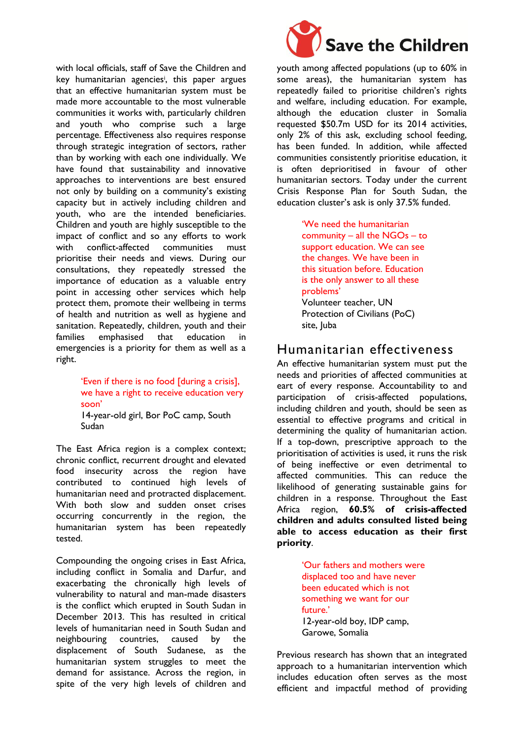with local officials, staff of Save the Children and key humanitarian agencies<sup>i</sup> , this paper argues that an effective humanitarian system must be made more accountable to the most vulnerable communities it works with, particularly children and youth who comprise such a large percentage. Effectiveness also requires response through strategic integration of sectors, rather than by working with each one individually. We have found that sustainability and innovative approaches to interventions are best ensured not only by building on a community's existing capacity but in actively including children and youth, who are the intended beneficiaries. Children and youth are highly susceptible to the impact of conflict and so any efforts to work with conflict-affected communities must prioritise their needs and views. During our consultations, they repeatedly stressed the importance of education as a valuable entry point in accessing other services which help protect them, promote their wellbeing in terms of health and nutrition as well as hygiene and sanitation. Repeatedly, children, youth and their families emphasised that education in emergencies is a priority for them as well as a right.

#### 'Even if there is no food [during a crisis], we have a right to receive education very soon' 14-year-old girl, Bor PoC camp, South

Sudan

The East Africa region is a complex context; chronic conflict, recurrent drought and elevated food insecurity across the region have contributed to continued high levels of humanitarian need and protracted displacement. With both slow and sudden onset crises occurring concurrently in the region, the humanitarian system has been repeatedly tested.

Compounding the ongoing crises in East Africa, including conflict in Somalia and Darfur, and exacerbating the chronically high levels of vulnerability to natural and man-made disasters is the conflict which erupted in South Sudan in December 2013. This has resulted in critical levels of humanitarian need in South Sudan and neighbouring countries, caused by the displacement of South Sudanese, as the humanitarian system struggles to meet the demand for assistance. Across the region, in spite of the very high levels of children and



youth among affected populations (up to 60% in some areas), the humanitarian system has repeatedly failed to prioritise children's rights and welfare, including education. For example, although the education cluster in Somalia requested \$50.7m USD for its 2014 activities, only 2% of this ask, excluding school feeding, has been funded. In addition, while affected communities consistently prioritise education, it is often deprioritised in favour of other humanitarian sectors. Today under the current Crisis Response Plan for South Sudan, the education cluster's ask is only 37.5% funded.

> 'We need the humanitarian community – all the NGOs – to support education. We can see the changes. We have been in this situation before. Education is the only answer to all these problems' Volunteer teacher, UN Protection of Civilians (PoC) site, Juba

### Humanitarian effectiveness

An effective humanitarian system must put the needs and priorities of affected communities at eart of every response. Accountability to and participation of crisis-affected populations, including children and youth, should be seen as essential to effective programs and critical in determining the quality of humanitarian action. If a top-down, prescriptive approach to the prioritisation of activities is used, it runs the risk of being ineffective or even detrimental to affected communities. This can reduce the likelihood of generating sustainable gains for children in a response. Throughout the East Africa region, **60.5% of crisis-affected children and adults consulted listed being able to access education as their first priority**.

> 'Our fathers and mothers were displaced too and have never been educated which is not something we want for our future.' 12-year-old boy, IDP camp, Garowe, Somalia

Previous research has shown that an integrated approach to a humanitarian intervention which includes education often serves as the most efficient and impactful method of providing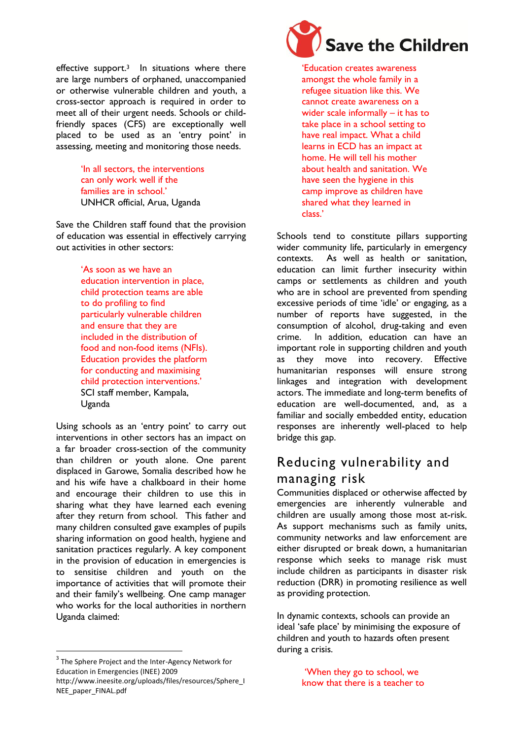effective support.<sup>3</sup> In situations where there are large numbers of orphaned, unaccompanied or otherwise vulnerable children and youth, a cross-sector approach is required in order to meet all of their urgent needs. Schools or childfriendly spaces (CFS) are exceptionally well placed to be used as an 'entry point' in assessing, meeting and monitoring those needs.

> 'In all sectors, the interventions can only work well if the families are in school.' UNHCR official, Arua, Uganda

Save the Children staff found that the provision of education was essential in effectively carrying out activities in other sectors:

> 'As soon as we have an education intervention in place, child protection teams are able to do profiling to find particularly vulnerable children and ensure that they are included in the distribution of food and non-food items (NFIs). Education provides the platform for conducting and maximising child protection interventions.' SCI staff member, Kampala, Uganda

Using schools as an 'entry point' to carry out interventions in other sectors has an impact on a far broader cross-section of the community than children or youth alone. One parent displaced in Garowe, Somalia described how he and his wife have a chalkboard in their home and encourage their children to use this in sharing what they have learned each evening after they return from school. This father and many children consulted gave examples of pupils sharing information on good health, hygiene and sanitation practices regularly. A key component in the provision of education in emergencies is to sensitise children and youth on the importance of activities that will promote their and their family's wellbeing. One camp manager who works for the local authorities in northern Uganda claimed:

 $\overline{\phantom{a}}$ 



'Education creates awareness amongst the whole family in a refugee situation like this. We cannot create awareness on a wider scale informally – it has to take place in a school setting to have real impact. What a child learns in ECD has an impact at home. He will tell his mother about health and sanitation. We have seen the hygiene in this camp improve as children have

shared what they learned in

class.'

Schools tend to constitute pillars supporting wider community life, particularly in emergency contexts. As well as health or sanitation, education can limit further insecurity within camps or settlements as children and youth who are in school are prevented from spending excessive periods of time 'idle' or engaging, as a number of reports have suggested, in the consumption of alcohol, drug-taking and even crime. In addition, education can have an important role in supporting children and youth as they move into recovery. Effective humanitarian responses will ensure strong linkages and integration with development actors. The immediate and long-term benefits of education are well-documented, and, as a familiar and socially embedded entity, education responses are inherently well-placed to help bridge this gap.

# Reducing vulnerability and managing risk

Communities displaced or otherwise affected by emergencies are inherently vulnerable and children are usually among those most at-risk. As support mechanisms such as family units, community networks and law enforcement are either disrupted or break down, a humanitarian response which seeks to manage risk must include children as participants in disaster risk reduction (DRR) in promoting resilience as well as providing protection.

In dynamic contexts, schools can provide an ideal 'safe place' by minimising the exposure of children and youth to hazards often present during a crisis.

> 'When they go to school, we know that there is a teacher to



 $3$  The Sphere Project and the Inter-Agency Network for Education in Emergencies (INEE) 2009

http://www.ineesite.org/uploads/files/resources/Sphere\_I NEE\_paper\_FINAL.pdf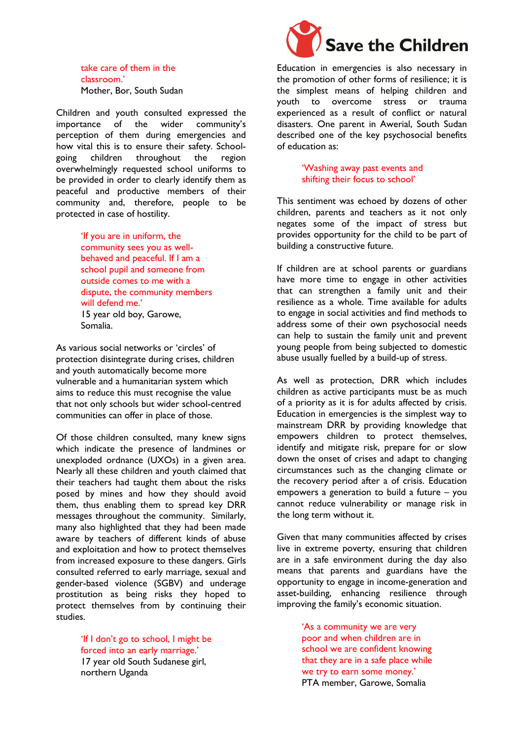take care of them in the classroom.' Mother, Bor, South Sudan

Children and youth consulted expressed the importance of the wider community's perception of them during emergencies and how vital this is to ensure their safety. Schoolgoing children throughout the region overwhelmingly requested school uniforms to be provided in order to clearly identify them as peaceful and productive members of their community and, therefore, people to be protected in case of hostility.

> 'If you are in uniform, the community sees you as wellbehaved and peaceful. If I am a school pupil and someone from outside comes to me with a dispute, the community members will defend me.' 15 year old boy, Garowe, Somalia.

As various social networks or 'circles' of protection disintegrate during crises, children and youth automatically become more vulnerable and a humanitarian system which aims to reduce this must recognise the value that not only schools but wider school-centred communities can offer in place of those.

Of those children consulted, many knew signs which indicate the presence of landmines or unexploded ordnance (UXOs) in a given area. Nearly all these children and youth claimed that their teachers had taught them about the risks posed by mines and how they should avoid them, thus enabling them to spread key DRR messages throughout the community. Similarly, many also highlighted that they had been made aware by teachers of different kinds of abuse and exploitation and how to protect themselves from increased exposure to these dangers. Girls consulted referred to early marriage, sexual and gender-based violence (SGBV) and underage prostitution as being risks they hoped to protect themselves from by continuing their studies.

> 'If I don't go to school, I might be forced into an early marriage.' 17 year old South Sudanese girl, northern Uganda



Education in emergencies is also necessary in the promotion of other forms of resilience; it is the simplest means of helping children and youth to overcome stress or trauma experienced as a result of conflict or natural disasters. One parent in Awerial, South Sudan described one of the key psychosocial benefits of education as:

> 'Washing away past events and shifting their focus to school'

This sentiment was echoed by dozens of other children, parents and teachers as it not only negates some of the impact of stress but provides opportunity for the child to be part of building a constructive future.

If children are at school parents or guardians have more time to engage in other activities that can strengthen a family unit and their resilience as a whole. Time available for adults to engage in social activities and find methods to address some of their own psychosocial needs can help to sustain the family unit and prevent young people from being subjected to domestic abuse usually fuelled by a build-up of stress.

As well as protection, DRR which includes children as active participants must be as much of a priority as it is for adults affected by crisis. Education in emergencies is the simplest way to mainstream DRR by providing knowledge that empowers children to protect themselves, identify and mitigate risk, prepare for or slow down the onset of crises and adapt to changing circumstances such as the changing climate or the recovery period after a of crisis. Education empowers a generation to build a future – you cannot reduce vulnerability or manage risk in the long term without it.

Given that many communities affected by crises live in extreme poverty, ensuring that children are in a safe environment during the day also means that parents and guardians have the opportunity to engage in income-generation and asset-building, enhancing resilience through improving the family's economic situation.

> 'As a community we are very poor and when children are in school we are confident knowing that they are in a safe place while we try to earn some money.' PTA member, Garowe, Somalia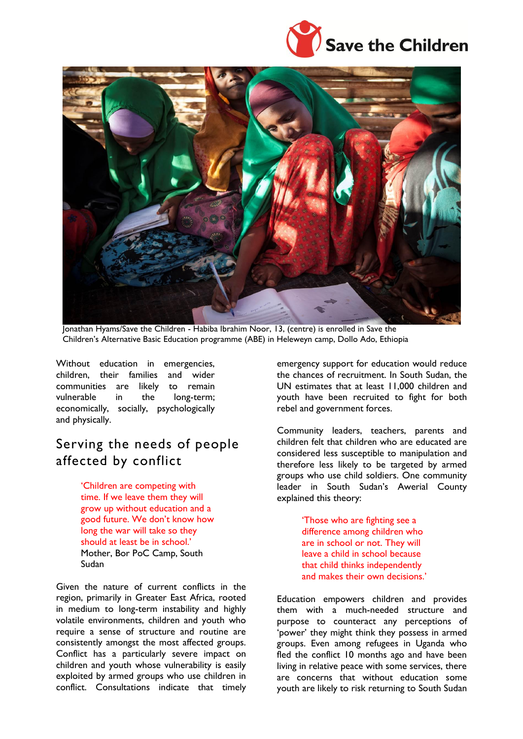



Jonathan Hyams/Save the Children - Habiba Ibrahim Noor, 13, (centre) is enrolled in Save the Children's Alternative Basic Education programme (ABE) in Heleweyn camp, Dollo Ado, Ethiopia

Without education in emergencies, children, their families and wider communities are likely to remain vulnerable in the long-term; economically, socially, psychologically and physically.

# Serving the needs of people affected by conflict

'Children are competing with time. If we leave them they will grow up without education and a good future. We don't know how long the war will take so they should at least be in school.' Mother, Bor PoC Camp, South Sudan

Given the nature of current conflicts in the region, primarily in Greater East Africa, rooted in medium to long-term instability and highly volatile environments, children and youth who require a sense of structure and routine are consistently amongst the most affected groups. Conflict has a particularly severe impact on children and youth whose vulnerability is easily exploited by armed groups who use children in conflict. Consultations indicate that timely

emergency support for education would reduce the chances of recruitment. In South Sudan, the UN estimates that at least 11,000 children and youth have been recruited to fight for both rebel and government forces.

Community leaders, teachers, parents and children felt that children who are educated are considered less susceptible to manipulation and therefore less likely to be targeted by armed groups who use child soldiers. One community leader in South Sudan's Awerial County explained this theory:

> 'Those who are fighting see a difference among children who are in school or not. They will leave a child in school because that child thinks independently and makes their own decisions.'

Education empowers children and provides them with a much-needed structure and purpose to counteract any perceptions of 'power' they might think they possess in armed groups. Even among refugees in Uganda who fled the conflict 10 months ago and have been living in relative peace with some services, there are concerns that without education some youth are likely to risk returning to South Sudan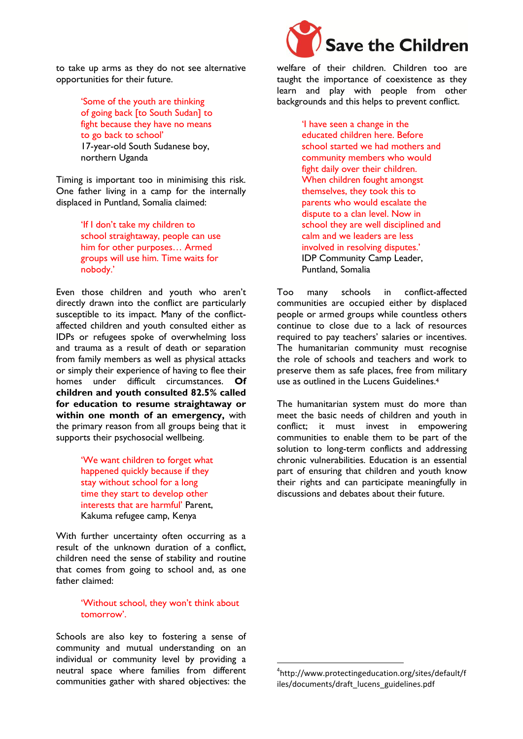to take up arms as they do not see alternative opportunities for their future.

> 'Some of the youth are thinking of going back [to South Sudan] to fight because they have no means to go back to school' 17-year-old South Sudanese boy, northern Uganda

Timing is important too in minimising this risk. One father living in a camp for the internally displaced in Puntland, Somalia claimed:

> 'If I don't take my children to school straightaway, people can use him for other purposes… Armed groups will use him. Time waits for nobody.'

Even those children and youth who aren't directly drawn into the conflict are particularly susceptible to its impact. Many of the conflictaffected children and youth consulted either as IDPs or refugees spoke of overwhelming loss and trauma as a result of death or separation from family members as well as physical attacks or simply their experience of having to flee their homes under difficult circumstances. **Of children and youth consulted 82.5% called for education to resume straightaway or within one month of an emergency,** with the primary reason from all groups being that it supports their psychosocial wellbeing.

> 'We want children to forget what happened quickly because if they stay without school for a long time they start to develop other interests that are harmful' Parent, Kakuma refugee camp, Kenya

With further uncertainty often occurring as a result of the unknown duration of a conflict, children need the sense of stability and routine that comes from going to school and, as one father claimed:

#### 'Without school, they won't think about tomorrow'.

Schools are also key to fostering a sense of community and mutual understanding on an individual or community level by providing a neutral space where families from different communities gather with shared objectives: the



welfare of their children. Children too are taught the importance of coexistence as they learn and play with people from other backgrounds and this helps to prevent conflict.

> 'I have seen a change in the educated children here. Before school started we had mothers and community members who would fight daily over their children. When children fought amongst themselves, they took this to parents who would escalate the dispute to a clan level. Now in school they are well disciplined and calm and we leaders are less involved in resolving disputes.' IDP Community Camp Leader, Puntland, Somalia

Too many schools in conflict-affected communities are occupied either by displaced people or armed groups while countless others continue to close due to a lack of resources required to pay teachers' salaries or incentives. The humanitarian community must recognise the role of schools and teachers and work to preserve them as safe places, free from military use as outlined in the Lucens Guidelines.<sup>4</sup>

The humanitarian system must do more than meet the basic needs of children and youth in conflict; it must invest in empowering communities to enable them to be part of the solution to long-term conflicts and addressing chronic vulnerabilities. Education is an essential part of ensuring that children and youth know their rights and can participate meaningfully in discussions and debates about their future.

**.** 

<sup>4</sup> http://www.protectingeducation.org/sites/default/f iles/documents/draft\_lucens\_guidelines.pdf